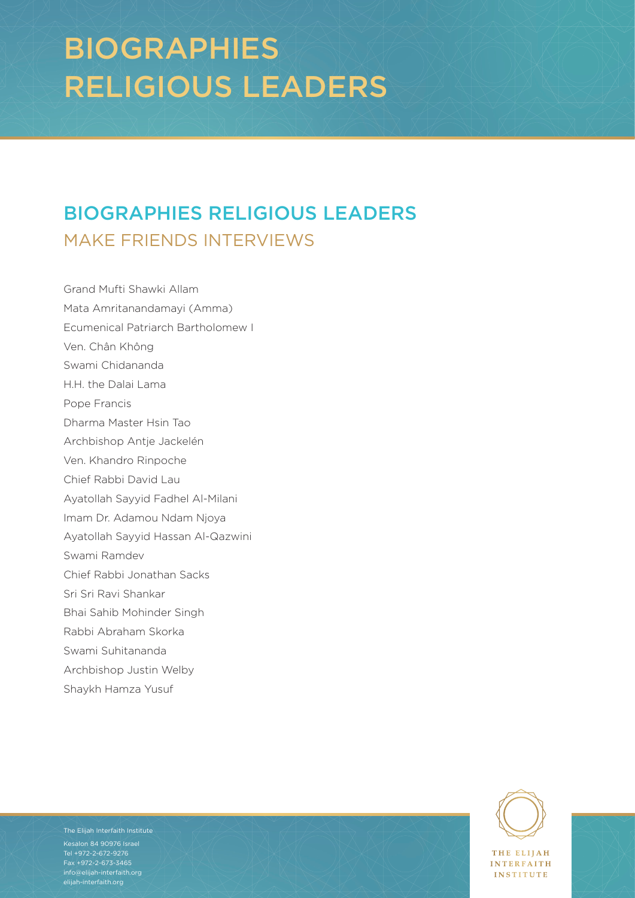# BIOGRAPHIES RELIGIOUS LEADERS

## BIOGRAPHIES RELIGIOUS LEADERS MAKE FRIENDS INTERVIEWS

Grand Mufti Shawki Allam Mata Amritanandamayi (Amma) Ecumenical Patriarch Bartholomew I Ven. Chân Không Swami Chidananda H.H. the Dalai Lama Pope Francis Dharma Master Hsin Tao Archbishop Antje Jackelén Ven. Khandro Rinpoche Chief Rabbi David Lau Ayatollah Sayyid Fadhel Al-Milani Imam Dr. Adamou Ndam Njoya Ayatollah Sayyid Hassan Al-Qazwini Swami Ramdev Chief Rabbi Jonathan Sacks Sri Sri Ravi Shankar Bhai Sahib Mohinder Singh Rabbi Abraham Skorka Swami Suhitananda Archbishop Justin Welby Shaykh Hamza Yusuf

 $B = \begin{bmatrix} 84 & 90976 & 1 & 1 & 1 \ 1 & 1 & 1 & 1 & 1 \end{bmatrix}$  $\frac{F_{\text{ax}} + 972 - 2 - 673 - 3465}{F_{\text{ax}} + 972 - 2 - 673 - 3465}$ The Elijah Interfaith Institute Tel +972-2-672-9276 [info@elijah-interfaith.org](mailto:info%40elijah-interfaith.org?subject=) [elijah-interfaith.org](http://elijah-interfaith.org)



**INTERFAITH INSTITUTE** 

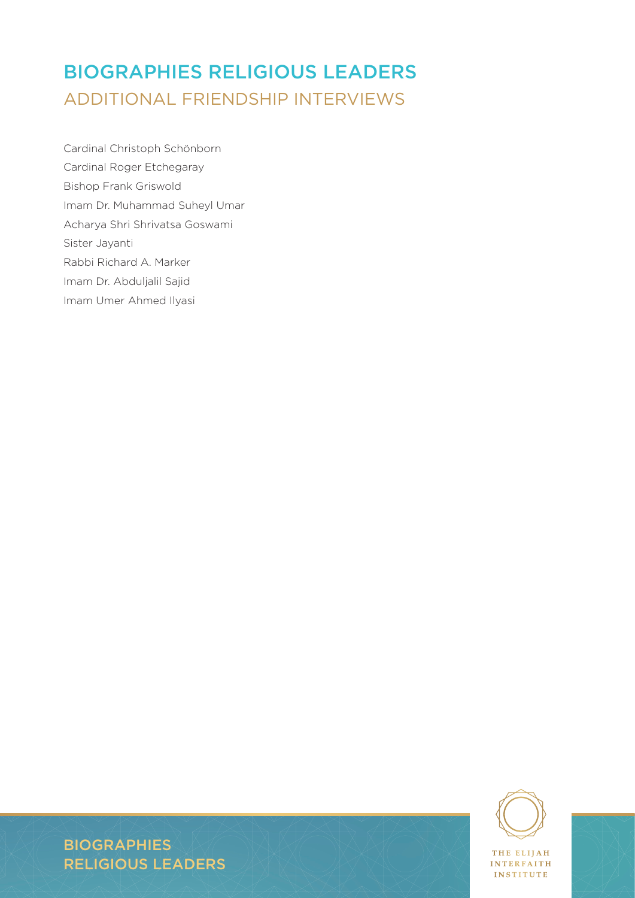### BIOGRAPHIES RELIGIOUS LEADERS ADDITIONAL FRIENDSHIP INTERVIEWS

Cardinal Christoph Schönborn Cardinal Roger Etchegaray Bishop Frank Griswold Imam Dr. Muhammad Suheyl Umar Acharya Shri Shrivatsa Goswami Sister Jayanti Rabbi Richard A. Marker Imam Dr. Abduljalil Sajid Imam Umer Ahmed Ilyasi



INTERFAITH **INSTITUTE**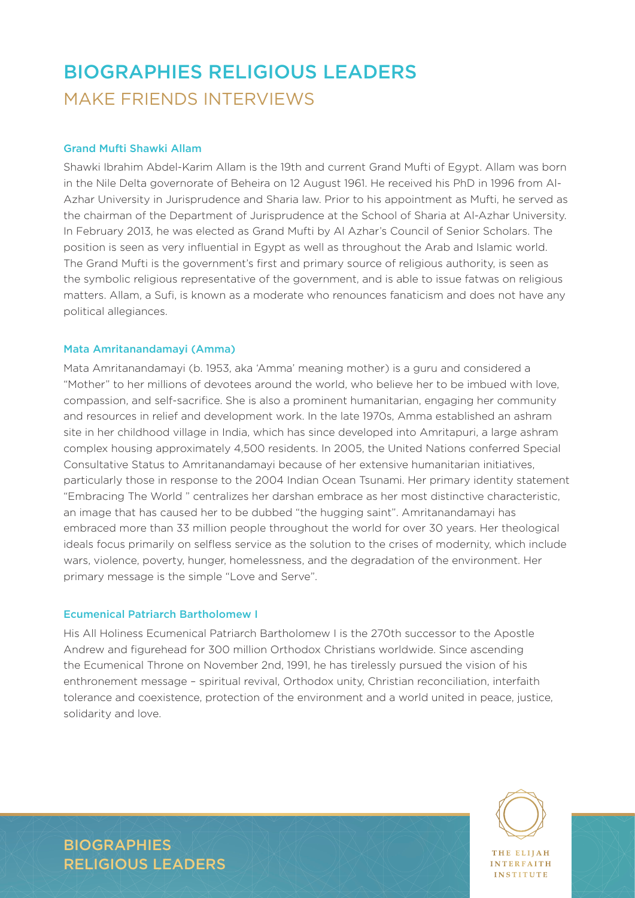### BIOGRAPHIES RELIGIOUS LEADERS MAKE FRIENDS INTERVIEWS

#### Grand Mufti Shawki Allam

Shawki Ibrahim Abdel-Karim Allam is the 19th and current Grand Mufti of Egypt. Allam was born in the Nile Delta governorate of Beheira on 12 August 1961. He received his PhD in 1996 from Al-Azhar University in Jurisprudence and Sharia law. Prior to his appointment as Mufti, he served as the chairman of the Department of Jurisprudence at the School of Sharia at Al-Azhar University. In February 2013, he was elected as Grand Mufti by Al Azhar's Council of Senior Scholars. The position is seen as very influential in Egypt as well as throughout the Arab and Islamic world. The Grand Mufti is the government's first and primary source of religious authority, is seen as the symbolic religious representative of the government, and is able to issue fatwas on religious matters. Allam, a Sufi, is known as a moderate who renounces fanaticism and does not have any political allegiances.

#### Mata Amritanandamayi (Amma)

Mata Amritanandamayi (b. 1953, aka 'Amma' meaning mother) is a guru and considered a "Mother" to her millions of devotees around the world, who believe her to be imbued with love, compassion, and self-sacrifice. She is also a prominent humanitarian, engaging her community and resources in relief and development work. In the late 1970s, Amma established an ashram site in her childhood village in India, which has since developed into Amritapuri, a large ashram complex housing approximately 4,500 residents. In 2005, the United Nations conferred Special Consultative Status to Amritanandamayi because of her extensive humanitarian initiatives, particularly those in response to the 2004 Indian Ocean Tsunami. Her primary identity statement "Embracing The World " centralizes her darshan embrace as her most distinctive characteristic, an image that has caused her to be dubbed "the hugging saint". Amritanandamayi has embraced more than 33 million people throughout the world for over 30 years. Her theological ideals focus primarily on selfless service as the solution to the crises of modernity, which include wars, violence, poverty, hunger, homelessness, and the degradation of the environment. Her primary message is the simple "Love and Serve".

#### Ecumenical Patriarch Bartholomew I

His All Holiness Ecumenical Patriarch Bartholomew I is the 270th successor to the Apostle Andrew and figurehead for 300 million Orthodox Christians worldwide. Since ascending the Ecumenical Throne on November 2nd, 1991, he has tirelessly pursued the vision of his enthronement message – spiritual revival, Orthodox unity, Christian reconciliation, interfaith tolerance and coexistence, protection of the environment and a world united in peace, justice, solidarity and love.



**INTERFAITH INSTITUTE**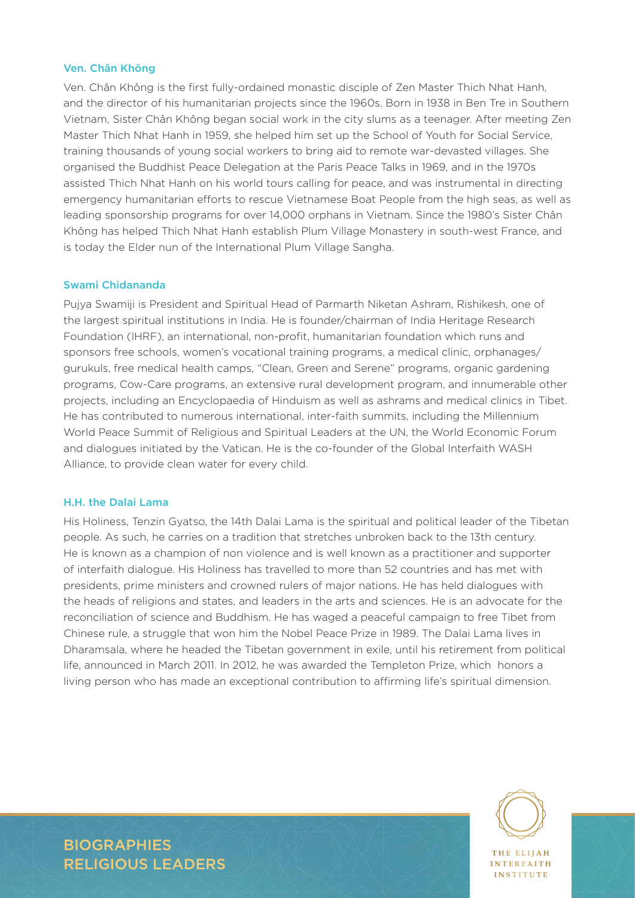#### Ven. Chân Không

Ven. Chân Không is the first fully-ordained monastic disciple of Zen Master Thich Nhat Hanh, and the director of his humanitarian projects since the 1960s. Born in 1938 in Ben Tre in Southern Vietnam, Sister Chân Không began social work in the city slums as a teenager. After meeting Zen Master Thich Nhat Hanh in 1959, she helped him set up the School of Youth for Social Service, training thousands of young social workers to bring aid to remote war-devasted villages. She organised the Buddhist Peace Delegation at the Paris Peace Talks in 1969, and in the 1970s assisted Thich Nhat Hanh on his world tours calling for peace, and was instrumental in directing emergency humanitarian efforts to rescue Vietnamese Boat People from the high seas, as well as leading sponsorship programs for over 14,000 orphans in Vietnam. Since the 1980's Sister Chân Không has helped Thich Nhat Hanh establish Plum Village Monastery in south-west France, and is today the Elder nun of the International Plum Village Sangha.

#### Swami Chidananda

Pujya Swamiji is President and Spiritual Head of Parmarth Niketan Ashram, Rishikesh, one of the largest spiritual institutions in India. He is founder/chairman of India Heritage Research Foundation (IHRF), an international, non-profit, humanitarian foundation which runs and sponsors free schools, women's vocational training programs, a medical clinic, orphanages/ gurukuls, free medical health camps, "Clean, Green and Serene" programs, organic gardening programs, Cow-Care programs, an extensive rural development program, and innumerable other projects, including an Encyclopaedia of Hinduism as well as ashrams and medical clinics in Tibet. He has contributed to numerous international, inter-faith summits, including the Millennium World Peace Summit of Religious and Spiritual Leaders at the UN, the World Economic Forum and dialogues initiated by the Vatican. He is the co-founder of the Global Interfaith WASH Alliance, to provide clean water for every child.

#### H.H. the Dalai Lama

His Holiness, Tenzin Gyatso, the 14th Dalai Lama is the spiritual and political leader of the Tibetan people. As such, he carries on a tradition that stretches unbroken back to the 13th century. He is known as a champion of non violence and is well known as a practitioner and supporter of interfaith dialogue. His Holiness has travelled to more than 52 countries and has met with presidents, prime ministers and crowned rulers of major nations. He has held dialogues with the heads of religions and states, and leaders in the arts and sciences. He is an advocate for the reconciliation of science and Buddhism. He has waged a peaceful campaign to free Tibet from Chinese rule, a struggle that won him the Nobel Peace Prize in 1989. The Dalai Lama lives in Dharamsala, where he headed the Tibetan government in exile, until his retirement from political life, announced in March 2011. In 2012, he was awarded the Templeton Prize, which honors a living person who has made an exceptional contribution to affirming life's spiritual dimension.



**BIOGRAPHIES** RELIGIOUS LEADERS

**INTERFAITH INSTITUTE**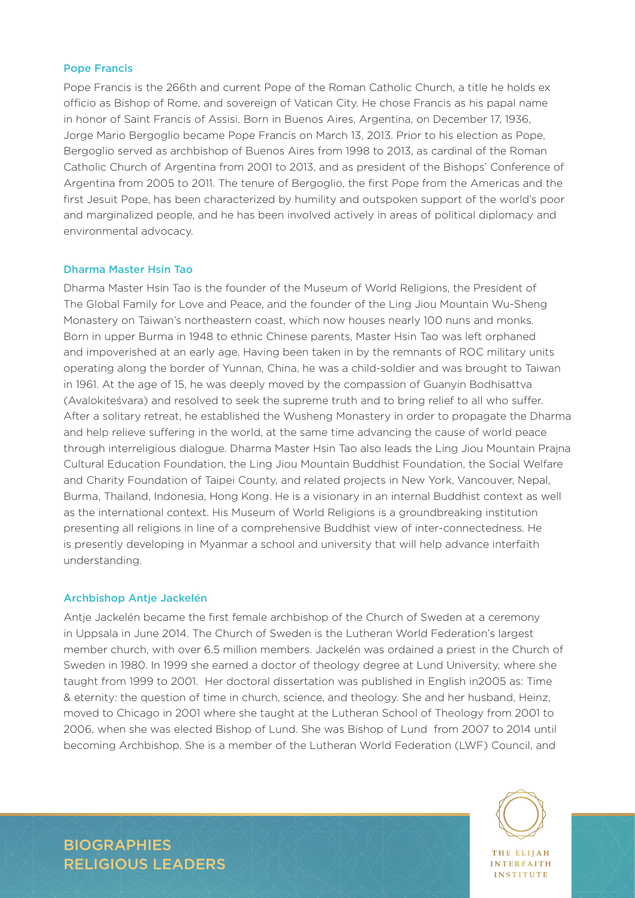#### Pope Francis

Pope Francis is the 266th and current Pope of the Roman Catholic Church, a title he holds ex officio as Bishop of Rome, and sovereign of Vatican City. He chose Francis as his papal name in honor of Saint Francis of Assisi. Born in Buenos Aires, Argentina, on December 17, 1936, Jorge Mario Bergoglio became Pope Francis on March 13, 2013. Prior to his election as Pope, Bergoglio served as archbishop of Buenos Aires from 1998 to 2013, as cardinal of the Roman Catholic Church of Argentina from 2001 to 2013, and as president of the Bishops' Conference of Argentina from 2005 to 2011. The tenure of Bergoglio, the first Pope from the Americas and the first Jesuit Pope, has been characterized by humility and outspoken support of the world's poor and marginalized people, and he has been involved actively in areas of political diplomacy and environmental advocacy.

#### Dharma Master Hsin Tao

Dharma Master Hsin Tao is the founder of the Museum of World Religions, the President of The Global Family for Love and Peace, and the founder of the Ling Jiou Mountain Wu-Sheng Monastery on Taiwan's northeastern coast, which now houses nearly 100 nuns and monks. Born in upper Burma in 1948 to ethnic Chinese parents, Master Hsin Tao was left orphaned and impoverished at an early age. Having been taken in by the remnants of ROC military units operating along the border of Yunnan, China, he was a child-soldier and was brought to Taiwan in 1961. At the age of 15, he was deeply moved by the compassion of Guanyin Bodhisattva (Avalokiteśvara) and resolved to seek the supreme truth and to bring relief to all who suffer. After a solitary retreat, he established the Wusheng Monastery in order to propagate the Dharma and help relieve suffering in the world, at the same time advancing the cause of world peace through interreligious dialogue. Dharma Master Hsin Tao also leads the Ling Jiou Mountain Prajna Cultural Education Foundation, the Ling Jiou Mountain Buddhist Foundation, the Social Welfare and Charity Foundation of Taipei County, and related projects in New York, Vancouver, Nepal, Burma, Thailand, Indonesia, Hong Kong. He is a visionary in an internal Buddhist context as well as the international context. His Museum of World Religions is a groundbreaking institution presenting all religions in line of a comprehensive Buddhist view of inter-connectedness. He is presently developing in Myanmar a school and university that will help advance interfaith understanding.

#### Archbishop Antje Jackelén

Antje Jackelén became the first female archbishop of the Church of Sweden at a ceremony in Uppsala in June 2014. The Church of Sweden is the Lutheran World Federation's largest member church, with over 6.5 million members. Jackelén was ordained a priest in the Church of Sweden in 1980. In 1999 she earned a doctor of theology degree at Lund University, where she taught from 1999 to 2001. Her doctoral dissertation was published in English in2005 as: Time & eternity: the question of time in church, science, and theology. She and her husband, Heinz, moved to Chicago in 2001 where she taught at the Lutheran School of Theology from 2001 to 2006, when she was elected Bishop of Lund. She was Bishop of Lund from 2007 to 2014 until becoming Archbishop. She is a member of the Lutheran World Federation (LWF) Council, and



**INTERFAITH INSTITUTE**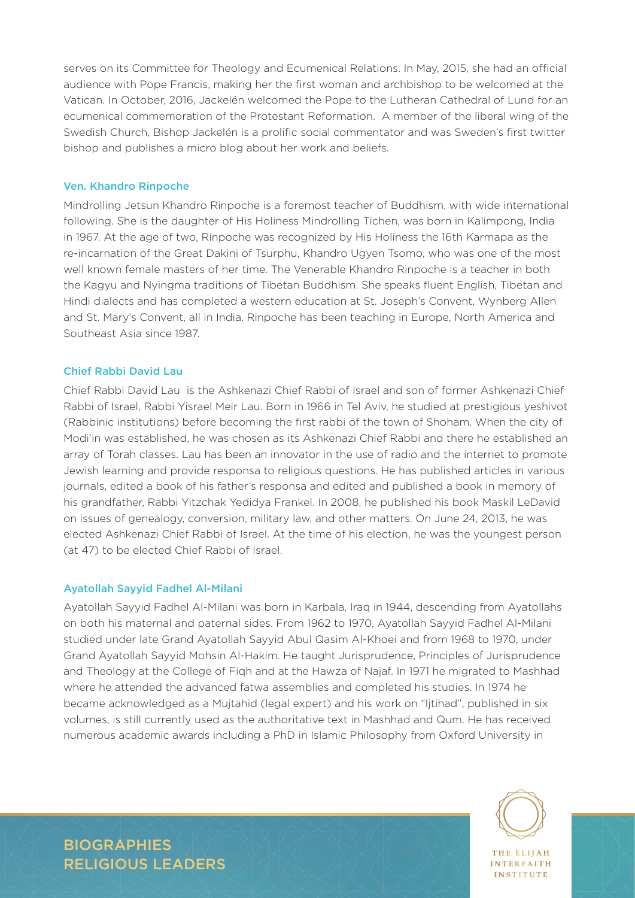serves on its Committee for Theology and Ecumenical Relations. In May, 2015, she had an official audience with Pope Francis, making her the first woman and archbishop to be welcomed at the Vatican. In October, 2016, Jackelén welcomed the Pope to the Lutheran Cathedral of Lund for an ecumenical commemoration of the Protestant Reformation. A member of the liberal wing of the Swedish Church, Bishop Jackelén is a prolific social commentator and was Sweden's first twitter bishop and publishes a micro blog about her work and beliefs.

#### Ven. Khandro Rinpoche

Mindrolling Jetsun Khandro Rinpoche is a foremost teacher of Buddhism, with wide international following. She is the daughter of His Holiness Mindrolling Tichen, was born in Kalimpong, India in 1967. At the age of two, Rinpoche was recognized by His Holiness the 16th Karmapa as the re-incarnation of the Great Dakini of Tsurphu, Khandro Ugyen Tsomo, who was one of the most well known female masters of her time. The Venerable Khandro Rinpoche is a teacher in both the Kagyu and Nyingma traditions of Tibetan Buddhism. She speaks fluent English, Tibetan and Hindi dialects and has completed a western education at St. Joseph's Convent, Wynberg Allen and St. Mary's Convent, all in India. Rinpoche has been teaching in Europe, North America and Southeast Asia since 1987.

#### Chief Rabbi David Lau

Chief Rabbi David Lau is the Ashkenazi Chief Rabbi of Israel and son of former Ashkenazi Chief Rabbi of Israel, Rabbi Yisrael Meir Lau. Born in 1966 in Tel Aviv, he studied at prestigious yeshivot (Rabbinic institutions) before becoming the first rabbi of the town of Shoham. When the city of Modi'in was established, he was chosen as its Ashkenazi Chief Rabbi and there he established an array of Torah classes. Lau has been an innovator in the use of radio and the internet to promote Jewish learning and provide responsa to religious questions. He has published articles in various journals, edited a book of his father's responsa and edited and published a book in memory of his grandfather, Rabbi Yitzchak Yedidya Frankel. In 2008, he published his book Maskil LeDavid on issues of genealogy, conversion, military law, and other matters. On June 24, 2013, he was elected Ashkenazi Chief Rabbi of Israel. At the time of his election, he was the youngest person (at 47) to be elected Chief Rabbi of Israel.

#### Ayatollah Sayyid Fadhel Al-Milani

Ayatollah Sayyid Fadhel Al-Milani was born in Karbala, Iraq in 1944, descending from Ayatollahs on both his maternal and paternal sides. From 1962 to 1970, Ayatollah Sayyid Fadhel Al-Milani studied under late Grand Ayatollah Sayyid Abul Qasim Al-Khoei and from 1968 to 1970, under Grand Ayatollah Sayyid Mohsin Al-Hakim. He taught Jurisprudence, Principles of Jurisprudence and Theology at the College of Fiqh and at the Hawza of Najaf. In 1971 he migrated to Mashhad where he attended the advanced fatwa assemblies and completed his studies. In 1974 he became acknowledged as a Mujtahid (legal expert) and his work on "Ijtihad", published in six volumes, is still currently used as the authoritative text in Mashhad and Qum. He has received numerous academic awards including a PhD in Islamic Philosophy from Oxford University in



**INTERFAITH INSTITUTE**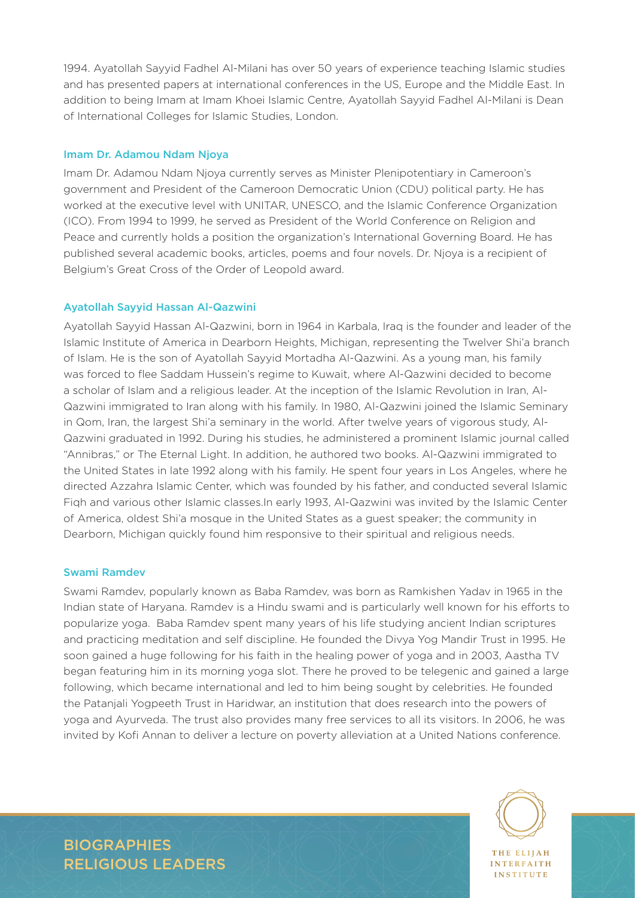1994. Ayatollah Sayyid Fadhel Al-Milani has over 50 years of experience teaching Islamic studies and has presented papers at international conferences in the US, Europe and the Middle East. In addition to being Imam at Imam Khoei Islamic Centre, Ayatollah Sayyid Fadhel Al-Milani is Dean of International Colleges for Islamic Studies, London.

#### Imam Dr. Adamou Ndam Njoya

Imam Dr. Adamou Ndam Njoya currently serves as Minister Plenipotentiary in Cameroon's government and President of the Cameroon Democratic Union (CDU) political party. He has worked at the executive level with UNITAR, UNESCO, and the Islamic Conference Organization (ICO). From 1994 to 1999, he served as President of the World Conference on Religion and Peace and currently holds a position the organization's International Governing Board. He has published several academic books, articles, poems and four novels. Dr. Njoya is a recipient of Belgium's Great Cross of the Order of Leopold award.

#### Ayatollah Sayyid Hassan Al-Qazwini

Ayatollah Sayyid Hassan Al-Qazwini, born in 1964 in Karbala, Iraq is the founder and leader of the Islamic Institute of America in Dearborn Heights, Michigan, representing the Twelver Shi'a branch of Islam. He is the son of Ayatollah Sayyid Mortadha Al-Qazwini. As a young man, his family was forced to flee Saddam Hussein's regime to Kuwait, where Al-Qazwini decided to become a scholar of Islam and a religious leader. At the inception of the Islamic Revolution in Iran, Al-Qazwini immigrated to Iran along with his family. In 1980, Al-Qazwini joined the Islamic Seminary in Qom, Iran, the largest Shi'a seminary in the world. After twelve years of vigorous study, Al-Qazwini graduated in 1992. During his studies, he administered a prominent Islamic journal called "Annibras," or The Eternal Light. In addition, he authored two books. Al-Qazwini immigrated to the United States in late 1992 along with his family. He spent four years in Los Angeles, where he directed Azzahra Islamic Center, which was founded by his father, and conducted several Islamic Fiqh and various other Islamic classes.In early 1993, Al-Qazwini was invited by the Islamic Center of America, oldest Shi'a mosque in the United States as a guest speaker; the community in Dearborn, Michigan quickly found him responsive to their spiritual and religious needs.

#### Swami Ramdev

Swami Ramdev, popularly known as Baba Ramdev, was born as Ramkishen Yadav in 1965 in the Indian state of Haryana. Ramdev is a Hindu swami and is particularly well known for his efforts to popularize yoga. Baba Ramdev spent many years of his life studying ancient Indian scriptures and practicing meditation and self discipline. He founded the Divya Yog Mandir Trust in 1995. He soon gained a huge following for his faith in the healing power of yoga and in 2003, Aastha TV began featuring him in its morning yoga slot. There he proved to be telegenic and gained a large following, which became international and led to him being sought by celebrities. He founded the Patanjali Yogpeeth Trust in Haridwar, an institution that does research into the powers of yoga and Ayurveda. The trust also provides many free services to all its visitors. In 2006, he was invited by Kofi Annan to deliver a lecture on poverty alleviation at a United Nations conference.



**INTERFAITH INSTITUTE** 

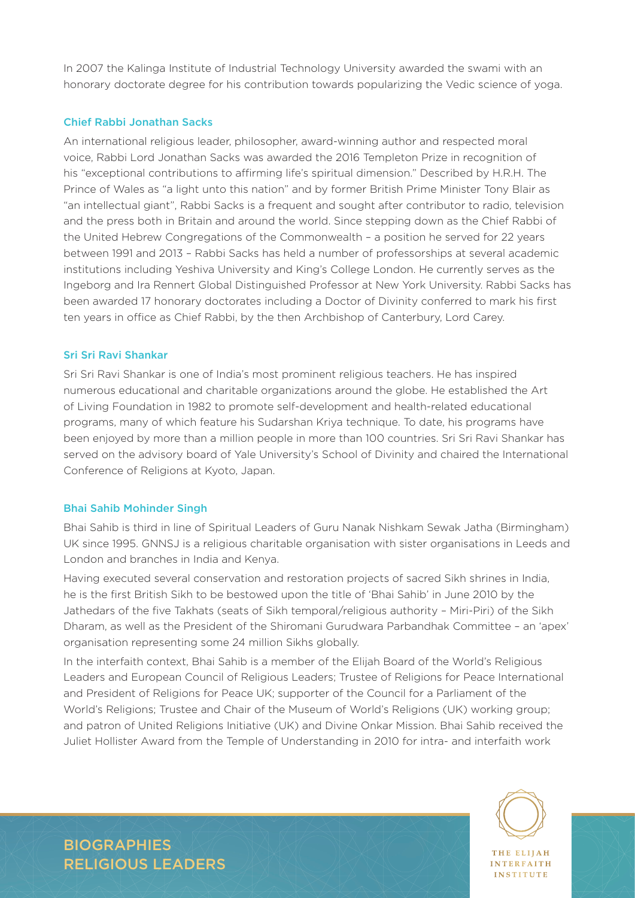In 2007 the Kalinga Institute of Industrial Technology University awarded the swami with an honorary doctorate degree for his contribution towards popularizing the Vedic science of yoga.

#### Chief Rabbi Jonathan Sacks

An international religious leader, philosopher, award-winning author and respected moral voice, Rabbi Lord Jonathan Sacks was awarded the 2016 Templeton Prize in recognition of his "exceptional contributions to affirming life's spiritual dimension." Described by H.R.H. The Prince of Wales as "a light unto this nation" and by former British Prime Minister Tony Blair as "an intellectual giant", Rabbi Sacks is a frequent and sought after contributor to radio, television and the press both in Britain and around the world. Since stepping down as the Chief Rabbi of the United Hebrew Congregations of the Commonwealth – a position he served for 22 years between 1991 and 2013 – Rabbi Sacks has held a number of professorships at several academic institutions including Yeshiva University and King's College London. He currently serves as the Ingeborg and Ira Rennert Global Distinguished Professor at New York University. Rabbi Sacks has been awarded 17 honorary doctorates including a Doctor of Divinity conferred to mark his first ten years in office as Chief Rabbi, by the then Archbishop of Canterbury, Lord Carey.

#### Sri Sri Ravi Shankar

Sri Sri Ravi Shankar is one of India's most prominent religious teachers. He has inspired numerous educational and charitable organizations around the globe. He established the Art of Living Foundation in 1982 to promote self-development and health-related educational programs, many of which feature his Sudarshan Kriya technique. To date, his programs have been enjoyed by more than a million people in more than 100 countries. Sri Sri Ravi Shankar has served on the advisory board of Yale University's School of Divinity and chaired the International Conference of Religions at Kyoto, Japan.

#### Bhai Sahib Mohinder Singh

Bhai Sahib is third in line of Spiritual Leaders of Guru Nanak Nishkam Sewak Jatha (Birmingham) UK since 1995. GNNSJ is a religious charitable organisation with sister organisations in Leeds and London and branches in India and Kenya.

Having executed several conservation and restoration projects of sacred Sikh shrines in India, he is the first British Sikh to be bestowed upon the title of 'Bhai Sahib' in June 2010 by the Jathedars of the five Takhats (seats of Sikh temporal/religious authority – Miri-Piri) of the Sikh Dharam, as well as the President of the Shiromani Gurudwara Parbandhak Committee – an 'apex' organisation representing some 24 million Sikhs globally.

In the interfaith context, Bhai Sahib is a member of the Elijah Board of the World's Religious Leaders and European Council of Religious Leaders; Trustee of Religions for Peace International and President of Religions for Peace UK; supporter of the Council for a Parliament of the World's Religions; Trustee and Chair of the Museum of World's Religions (UK) working group; and patron of United Religions Initiative (UK) and Divine Onkar Mission. Bhai Sahib received the Juliet Hollister Award from the Temple of Understanding in 2010 for intra- and interfaith work



**INTERFAITH** INSTITUTE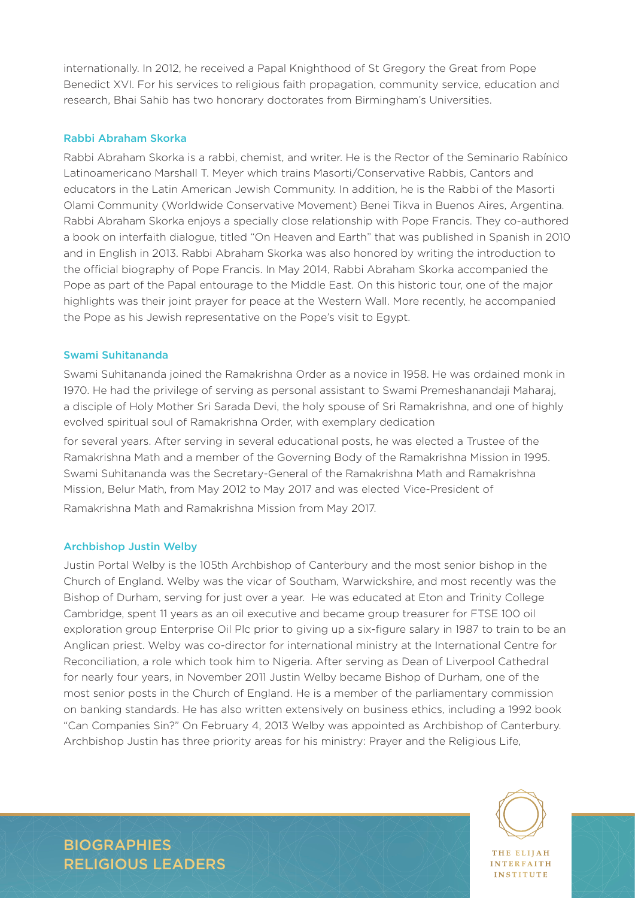internationally. In 2012, he received a Papal Knighthood of St Gregory the Great from Pope Benedict XVI. For his services to religious faith propagation, community service, education and research, Bhai Sahib has two honorary doctorates from Birmingham's Universities.

#### Rabbi Abraham Skorka

Rabbi Abraham Skorka is a rabbi, chemist, and writer. He is the Rector of the Seminario Rabínico Latinoamericano Marshall T. Meyer which trains Masorti/Conservative Rabbis, Cantors and educators in the Latin American Jewish Community. In addition, he is the Rabbi of the Masorti Olami Community (Worldwide Conservative Movement) Benei Tikva in Buenos Aires, Argentina. Rabbi Abraham Skorka enjoys a specially close relationship with Pope Francis. They co-authored a book on interfaith dialogue, titled "On Heaven and Earth" that was published in Spanish in 2010 and in English in 2013. Rabbi Abraham Skorka was also honored by writing the introduction to the official biography of Pope Francis. In May 2014, Rabbi Abraham Skorka accompanied the Pope as part of the Papal entourage to the Middle East. On this historic tour, one of the major highlights was their joint prayer for peace at the Western Wall. More recently, he accompanied the Pope as his Jewish representative on the Pope's visit to Egypt.

#### Swami Suhitananda

Swami Suhitananda joined the Ramakrishna Order as a novice in 1958. He was ordained monk in 1970. He had the privilege of serving as personal assistant to Swami Premeshanandaji Maharaj, a disciple of Holy Mother Sri Sarada Devi, the holy spouse of Sri Ramakrishna, and one of highly evolved spiritual soul of Ramakrishna Order, with exemplary dedication

for several years. After serving in several educational posts, he was elected a Trustee of the Ramakrishna Math and a member of the Governing Body of the Ramakrishna Mission in 1995. Swami Suhitananda was the Secretary-General of the Ramakrishna Math and Ramakrishna Mission, Belur Math, from May 2012 to May 2017 and was elected Vice-President of Ramakrishna Math and Ramakrishna Mission from May 2017.

#### Archbishop Justin Welby

Justin Portal Welby is the 105th Archbishop of Canterbury and the most senior bishop in the Church of England. Welby was the vicar of Southam, Warwickshire, and most recently was the Bishop of Durham, serving for just over a year. He was educated at Eton and Trinity College Cambridge, spent 11 years as an oil executive and became group treasurer for FTSE 100 oil exploration group Enterprise Oil Plc prior to giving up a six-figure salary in 1987 to train to be an Anglican priest. Welby was co-director for international ministry at the International Centre for Reconciliation, a role which took him to Nigeria. After serving as Dean of Liverpool Cathedral for nearly four years, in November 2011 Justin Welby became Bishop of Durham, one of the most senior posts in the Church of England. He is a member of the parliamentary commission on banking standards. He has also written extensively on business ethics, including a 1992 book "Can Companies Sin?" On February 4, 2013 Welby was appointed as Archbishop of Canterbury. Archbishop Justin has three priority areas for his ministry: Prayer and the Religious Life,



**INTERFAITH INSTITUTE**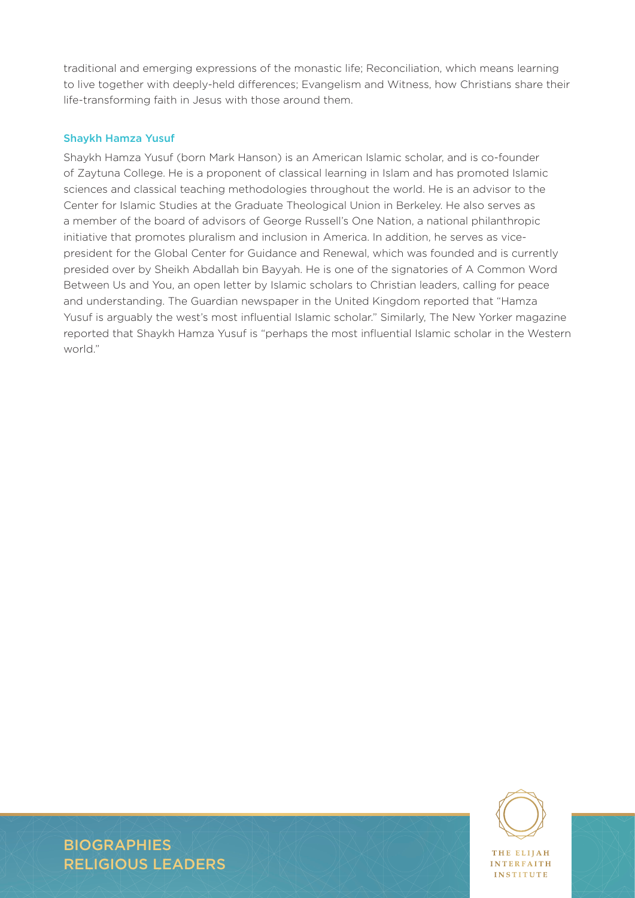traditional and emerging expressions of the monastic life; Reconciliation, which means learning to live together with deeply-held differences; Evangelism and Witness, how Christians share their life-transforming faith in Jesus with those around them.

### Shaykh Hamza Yusuf

Shaykh Hamza Yusuf (born Mark Hanson) is an American Islamic scholar, and is co-founder of Zaytuna College. He is a proponent of classical learning in Islam and has promoted Islamic sciences and classical teaching methodologies throughout the world. He is an advisor to the Center for Islamic Studies at the Graduate Theological Union in Berkeley. He also serves as a member of the board of advisors of George Russell's One Nation, a national philanthropic initiative that promotes pluralism and inclusion in America. In addition, he serves as vicepresident for the Global Center for Guidance and Renewal, which was founded and is currently presided over by Sheikh Abdallah bin Bayyah. He is one of the signatories of A Common Word Between Us and You, an open letter by Islamic scholars to Christian leaders, calling for peace and understanding. The Guardian newspaper in the United Kingdom reported that "Hamza Yusuf is arguably the west's most influential Islamic scholar." Similarly, The New Yorker magazine reported that Shaykh Hamza Yusuf is "perhaps the most influential Islamic scholar in the Western world."



**INSTITUTE** 

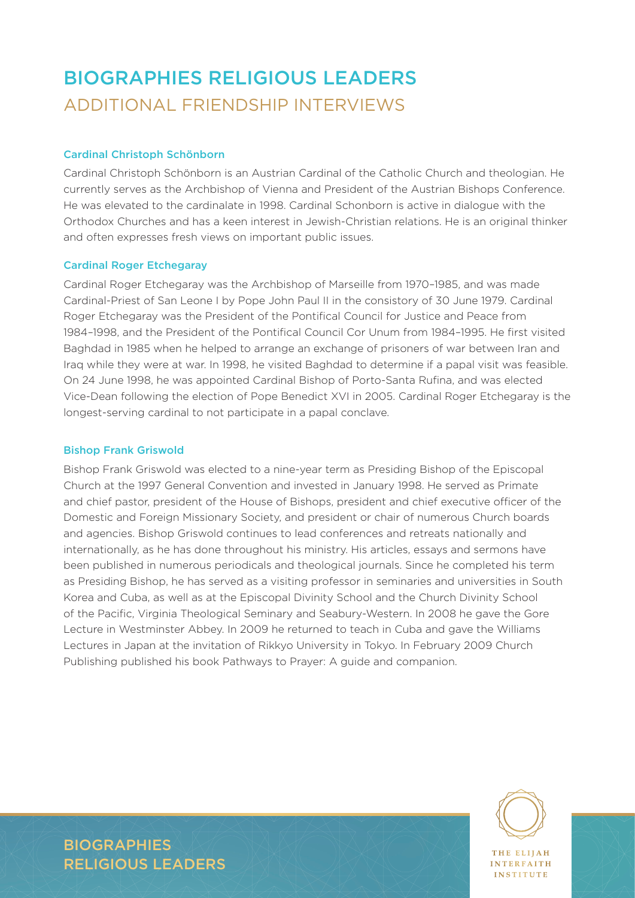### BIOGRAPHIES RELIGIOUS LEADERS ADDITIONAL FRIENDSHIP INTERVIEWS

### Cardinal Christoph Schönborn

Cardinal Christoph Schönborn is an Austrian Cardinal of the Catholic Church and theologian. He currently serves as the Archbishop of Vienna and President of the Austrian Bishops Conference. He was elevated to the cardinalate in 1998. Cardinal Schonborn is active in dialogue with the Orthodox Churches and has a keen interest in Jewish-Christian relations. He is an original thinker and often expresses fresh views on important public issues.

#### Cardinal Roger Etchegaray

Cardinal Roger Etchegaray was the Archbishop of Marseille from 1970–1985, and was made Cardinal-Priest of San Leone I by Pope John Paul II in the consistory of 30 June 1979. Cardinal Roger Etchegaray was the President of the Pontifical Council for Justice and Peace from 1984–1998, and the President of the Pontifical Council Cor Unum from 1984–1995. He first visited Baghdad in 1985 when he helped to arrange an exchange of prisoners of war between Iran and Iraq while they were at war. In 1998, he visited Baghdad to determine if a papal visit was feasible. On 24 June 1998, he was appointed Cardinal Bishop of Porto-Santa Rufina, and was elected Vice-Dean following the election of Pope Benedict XVI in 2005. Cardinal Roger Etchegaray is the longest-serving cardinal to not participate in a papal conclave.

#### Bishop Frank Griswold

Bishop Frank Griswold was elected to a nine-year term as Presiding Bishop of the Episcopal Church at the 1997 General Convention and invested in January 1998. He served as Primate and chief pastor, president of the House of Bishops, president and chief executive officer of the Domestic and Foreign Missionary Society, and president or chair of numerous Church boards and agencies. Bishop Griswold continues to lead conferences and retreats nationally and internationally, as he has done throughout his ministry. His articles, essays and sermons have been published in numerous periodicals and theological journals. Since he completed his term as Presiding Bishop, he has served as a visiting professor in seminaries and universities in South Korea and Cuba, as well as at the Episcopal Divinity School and the Church Divinity School of the Pacific, Virginia Theological Seminary and Seabury-Western. In 2008 he gave the Gore Lecture in Westminster Abbey. In 2009 he returned to teach in Cuba and gave the Williams Lectures in Japan at the invitation of Rikkyo University in Tokyo. In February 2009 Church Publishing published his book Pathways to Prayer: A guide and companion.



**INTERFAITH INSTITUTE** 

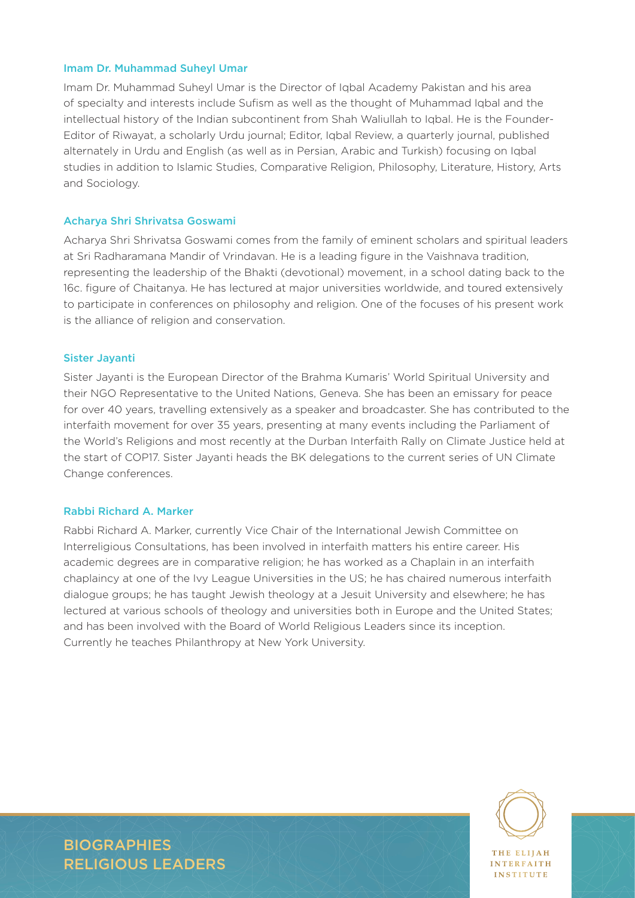#### Imam Dr. Muhammad Suheyl Umar

Imam Dr. Muhammad Suheyl Umar is the Director of Iqbal Academy Pakistan and his area of specialty and interests include Sufism as well as the thought of Muhammad Iqbal and the intellectual history of the Indian subcontinent from Shah Waliullah to Iqbal. He is the Founder-Editor of Riwayat, a scholarly Urdu journal; Editor, Iqbal Review, a quarterly journal, published alternately in Urdu and English (as well as in Persian, Arabic and Turkish) focusing on Iqbal studies in addition to Islamic Studies, Comparative Religion, Philosophy, Literature, History, Arts and Sociology.

#### Acharya Shri Shrivatsa Goswami

Acharya Shri Shrivatsa Goswami comes from the family of eminent scholars and spiritual leaders at Sri Radharamana Mandir of Vrindavan. He is a leading figure in the Vaishnava tradition, representing the leadership of the Bhakti (devotional) movement, in a school dating back to the 16c. figure of Chaitanya. He has lectured at major universities worldwide, and toured extensively to participate in conferences on philosophy and religion. One of the focuses of his present work is the alliance of religion and conservation.

#### Sister Jayanti

Sister Jayanti is the European Director of the Brahma Kumaris' World Spiritual University and their NGO Representative to the United Nations, Geneva. She has been an emissary for peace for over 40 years, travelling extensively as a speaker and broadcaster. She has contributed to the interfaith movement for over 35 years, presenting at many events including the Parliament of the World's Religions and most recently at the Durban Interfaith Rally on Climate Justice held at the start of COP17. Sister Jayanti heads the BK delegations to the current series of UN Climate Change conferences.

#### Rabbi Richard A. Marker

Rabbi Richard A. Marker, currently Vice Chair of the International Jewish Committee on Interreligious Consultations, has been involved in interfaith matters his entire career. His academic degrees are in comparative religion; he has worked as a Chaplain in an interfaith chaplaincy at one of the Ivy League Universities in the US; he has chaired numerous interfaith dialogue groups; he has taught Jewish theology at a Jesuit University and elsewhere; he has lectured at various schools of theology and universities both in Europe and the United States; and has been involved with the Board of World Religious Leaders since its inception. Currently he teaches Philanthropy at New York University.



**INTERFAITH INSTITUTE**